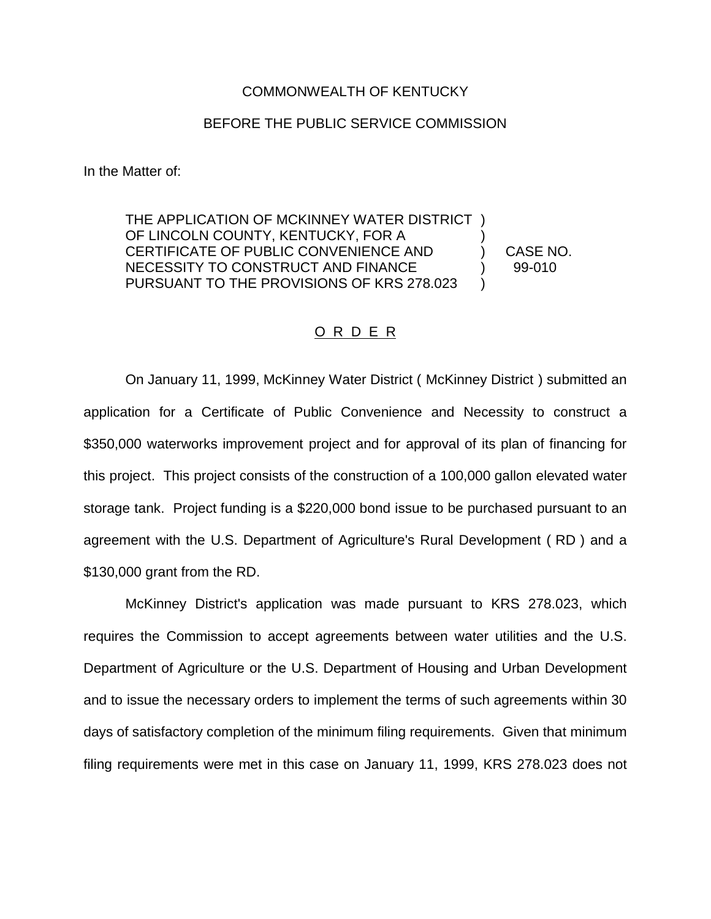## COMMONWEALTH OF KENTUCKY

## BEFORE THE PUBLIC SERVICE COMMISSION

In the Matter of:

THE APPLICATION OF MCKINNEY WATER DISTRICT ) OF LINCOLN COUNTY, KENTUCKY, FOR A CERTIFICATE OF PUBLIC CONVENIENCE AND ) CASE NO. NECESSITY TO CONSTRUCT AND FINANCE  $\qquad \qquad$  99-010 PURSUANT TO THE PROVISIONS OF KRS 278.023

## O R D E R

On January 11, 1999, McKinney Water District ( McKinney District ) submitted an application for a Certificate of Public Convenience and Necessity to construct a \$350,000 waterworks improvement project and for approval of its plan of financing for this project. This project consists of the construction of a 100,000 gallon elevated water storage tank. Project funding is a \$220,000 bond issue to be purchased pursuant to an agreement with the U.S. Department of Agriculture's Rural Development ( RD ) and a \$130,000 grant from the RD.

McKinney District's application was made pursuant to KRS 278.023, which requires the Commission to accept agreements between water utilities and the U.S. Department of Agriculture or the U.S. Department of Housing and Urban Development and to issue the necessary orders to implement the terms of such agreements within 30 days of satisfactory completion of the minimum filing requirements. Given that minimum filing requirements were met in this case on January 11, 1999, KRS 278.023 does not